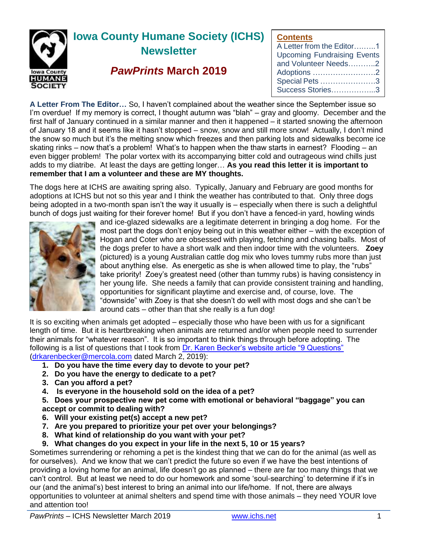

## **Contents**

| --------                           |
|------------------------------------|
| A Letter from the Editor1          |
| <b>Upcoming Fundraising Events</b> |
| and Volunteer Needs2               |
| Adoptions 2                        |
| Special Pets 3                     |
| Success Stories3                   |
|                                    |

**A Letter From The Editor…** So, I haven't complained about the weather since the September issue so I'm overdue! If my memory is correct, I thought autumn was "blah" – gray and gloomy. December and the first half of January continued in a similar manner and then it happened – it started snowing the afternoon of January 18 and it seems like it hasn't stopped – snow, snow and still more snow! Actually, I don't mind the snow so much but it's the melting snow which freezes and then parking lots and sidewalks become ice skating rinks – now that's a problem! What's to happen when the thaw starts in earnest? Flooding – an even bigger problem! The polar vortex with its accompanying bitter cold and outrageous wind chills just adds to my diatribe. At least the days are getting longer… **As you read this letter it is important to remember that I am a volunteer and these are MY thoughts.**

The dogs here at ICHS are awaiting spring also. Typically, January and February are good months for adoptions at ICHS but not so this year and I think the weather has contributed to that. Only three dogs being adopted in a two-month span isn't the way it usually is – especially when there is such a delightful bunch of dogs just waiting for their forever home! But if you don't have a fenced-in yard, howling winds



and ice-glazed sidewalks are a legitimate deterrent in bringing a dog home. For the most part the dogs don't enjoy being out in this weather either – with the exception of Hogan and Coter who are obsessed with playing, fetching and chasing balls. Most of the dogs prefer to have a short walk and then indoor time with the volunteers. **Zoey** (pictured) is a young Australian cattle dog mix who loves tummy rubs more than just about anything else. As energetic as she is when allowed time to play, the "rubs" take priority! Zoey's greatest need (other than tummy rubs) is having consistency in her young life. She needs a family that can provide consistent training and handling, opportunities for significant playtime and exercise and, of course, love. The "downside" with Zoey is that she doesn't do well with most dogs and she can't be around cats – other than that she really is a fun dog!

It is so exciting when animals get adopted – especially those who have been with us for a significant length of time. But it is heartbreaking when animals are returned and/or when people need to surrender their animals for "whatever reason". It is so important to think things through before adopting. The following is a list of questions that I took from [Dr. Karen Becker's website article "9 Questions"](https://healthypets.mercola.com/sites/healthypets/archive/2016/02/20/pet-adoption.aspx) [\(drkarenbecker@mercola.com](file:///C:/Users/Owner/Desktop/ICHS/Newsletter/drkarenbecker@mercola.com) dated March 2, 2019):

- **1. Do you have the time every day to devote to your pet?**
- **2. Do you have the energy to dedicate to a pet?**
- **3. Can you afford a pet?**
- **4. Is everyone in the household sold on the idea of a pet?**

**5. Does your prospective new pet come with emotional or behavioral "baggage" you can accept or commit to dealing with?**

- **6. Will your existing pet(s) accept a new pet?**
- **7. Are you prepared to prioritize your pet over your belongings?**
- **8. What kind of relationship do you want with your pet?**

# **9. What changes do you expect in your life in the next 5, 10 or 15 years?**

Sometimes surrendering or rehoming a pet is the kindest thing that we can do for the animal (as well as for ourselves). And we know that we can't predict the future so even if we have the best intentions of providing a loving home for an animal, life doesn't go as planned – there are far too many things that we can't control. But at least we need to do our homework and some 'soul-searching' to determine if it's in our (and the animal's) best interest to bring an animal into our life/home. If not, there are always opportunities to volunteer at animal shelters and spend time with those animals – they need YOUR love and attention too!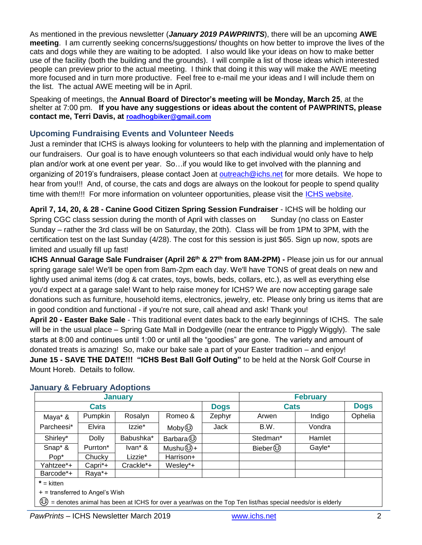As mentioned in the previous newsletter (*January 2019 PAWPRINTS*), there will be an upcoming **AWE meeting**. I am currently seeking concerns/suggestions/ thoughts on how better to improve the lives of the cats and dogs while they are waiting to be adopted. I also would like your ideas on how to make better use of the facility (both the building and the grounds). I will compile a list of those ideas which interested people can preview prior to the actual meeting. I think that doing it this way will make the AWE meeting more focused and in turn more productive. Feel free to e-mail me your ideas and I will include them on the list. The actual AWE meeting will be in April.

Speaking of meetings, the **Annual Board of Director's meeting will be Monday, March 25**, at the shelter at 7:00 pm. **If you have any suggestions or ideas about the content of PAWPRINTS, please contact me, Terri Davis, at [roadhogbiker@gmail.com](mailto:roadhogbiker@gmail.com)**

# **Upcoming Fundraising Events and Volunteer Needs**

Just a reminder that ICHS is always looking for volunteers to help with the planning and implementation of our fundraisers. Our goal is to have enough volunteers so that each individual would only have to help plan and/or work at one event per year. So…if you would like to get involved with the planning and organizing of 2019's fundraisers, please contact Joen at [outreach@ichs.net](mailto:outreach@ichs.net) for more details. We hope to hear from you!!! And, of course, the cats and dogs are always on the lookout for people to spend quality time with them!!! For more information on volunteer opportunities, please visit the [ICHS website.](http://www.ichs.net/volunteer-help/volunteer/)

**April 7, 14, 20, & 28 - Canine Good Citizen Spring Session Fundraiser** - ICHS will be holding our Spring CGC class session during the month of April with classes on Sunday (no class on Easter Sunday – rather the 3rd class will be on Saturday, the 20th). Class will be from 1PM to 3PM, with the certification test on the last Sunday (4/28). The cost for this session is just \$65. Sign up now, spots are limited and usually fill up fast!

**ICHS Annual Garage Sale Fundraiser (April 26th & 27 th from 8AM-2PM) -** Please join us for our annual spring garage sale! We'll be open from 8am-2pm each day. We'll have TONS of great deals on new and lightly used animal items (dog & cat crates, toys, bowls, beds, collars, etc.), as well as everything else you'd expect at a garage sale! Want to help raise money for ICHS? We are now accepting garage sale donations such as furniture, household items, electronics, jewelry, etc. Please only bring us items that are in good condition and functional - if you're not sure, call ahead and ask! Thank you!

**April 20 - Easter Bake Sale** - This traditional event dates back to the early beginnings of ICHS. The sale will be in the usual place – Spring Gate Mall in Dodgeville (near the entrance to Piggly Wiggly). The sale starts at 8:00 and continues until 1:00 or until all the "goodies" are gone. The variety and amount of donated treats is amazing! So, make our bake sale a part of your Easter tradition – and enjoy! **June 15 - SAVE THE DATE!!! "ICHS Best Ball Golf Outing"** to be held at the Norsk Golf Course in Mount Horeb. Details to follow.

|                  |                      | <b>January</b> | <b>February</b> |             |             |        |             |
|------------------|----------------------|----------------|-----------------|-------------|-------------|--------|-------------|
| <b>Cats</b>      |                      |                |                 | <b>Dogs</b> | <b>Cats</b> |        | <b>Dogs</b> |
| Maya* &          | Pumpkin              | Rosalyn        | Romeo &         | Zephyr      | Arwen       | Indigo | Ophelia     |
| Parcheesi*       | Elvira               | Izzie*         | Moby 3          | Jack        | B.W.        | Vondra |             |
| Shirley*         | <b>Dolly</b>         | Babushka*      | Barbara ?       |             | Stedman*    | Hamlet |             |
| Snap* &          | Purrton*             | Ivan* &        | Mushu ේ+        |             | Bieber 3    | Gayle* |             |
| Pop <sup>*</sup> | Chucky               | Lizzie*        | Harrison+       |             |             |        |             |
| Yahtzee*+        | Capri <sup>*</sup> + | Crackle*+      | Wesley*+        |             |             |        |             |
| Barcode*+        | Raya*+               |                |                 |             |             |        |             |

# **January & February Adoptions**

**\*** = kitten

+ = transferred to Angel's Wish

☺ = denotes animal has been at ICHS for over a year/was on the Top Ten list/has special needs/or is elderly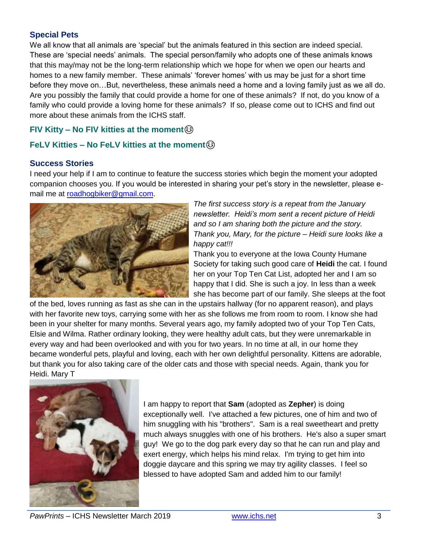# **Special Pets**

We all know that all animals are 'special' but the animals featured in this section are indeed special. These are 'special needs' animals. The special person/family who adopts one of these animals knows that this may/may not be the long-term relationship which we hope for when we open our hearts and homes to a new family member. These animals' 'forever homes' with us may be just for a short time before they move on…But, nevertheless, these animals need a home and a loving family just as we all do. Are you possibly the family that could provide a home for one of these animals? If not, do you know of a family who could provide a loving home for these animals? If so, please come out to ICHS and find out more about these animals from the ICHS staff.

# **FIV Kitty – No FIV kitties at the moment**

# **FeLV Kitties – No FeLV kitties at the moment**☺

# **Success Stories**

I need your help if I am to continue to feature the success stories which begin the moment your adopted companion chooses you. If you would be interested in sharing your pet's story in the newsletter, please email me at [roadhogbiker@gmail.com.](mailto:roadhogbiker@gmail.com)



*The first success story is a repeat from the January newsletter. Heidi's mom sent a recent picture of Heidi and so I am sharing both the picture and the story. Thank you, Mary, for the picture – Heidi sure looks like a happy cat!!!*

Thank you to everyone at the Iowa County Humane Society for taking such good care of **Heidi** the cat. I found her on your Top Ten Cat List, adopted her and I am so happy that I did. She is such a joy. In less than a week she has become part of our family. She sleeps at the foot

of the bed, loves running as fast as she can in the upstairs hallway (for no apparent reason), and plays with her favorite new toys, carrying some with her as she follows me from room to room. I know she had been in your shelter for many months. Several years ago, my family adopted two of your Top Ten Cats, Elsie and Wilma. Rather ordinary looking, they were healthy adult cats, but they were unremarkable in every way and had been overlooked and with you for two years. In no time at all, in our home they became wonderful pets, playful and loving, each with her own delightful personality. Kittens are adorable, but thank you for also taking care of the older cats and those with special needs. Again, thank you for Heidi. Mary T



I am happy to report that **Sam** (adopted as **Zepher**) is doing exceptionally well. I've attached a few pictures, one of him and two of him snuggling with his "brothers". Sam is a real sweetheart and pretty much always snuggles with one of his brothers. He's also a super smart guy! We go to the dog park every day so that he can run and play and exert energy, which helps his mind relax. I'm trying to get him into doggie daycare and this spring we may try agility classes. I feel so blessed to have adopted Sam and added him to our family!